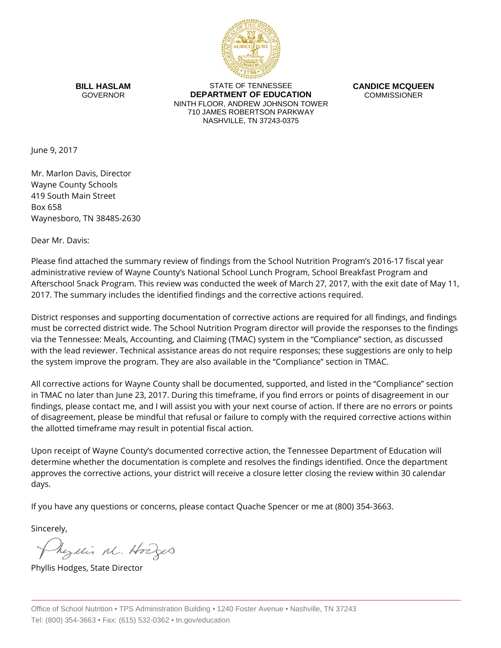

**BILL HASLAM** GOVERNOR

STATE OF TENNESSEE **DEPARTMENT OF EDUCATION** NINTH FLOOR, ANDREW JOHNSON TOWER 710 JAMES ROBERTSON PARKWAY NASHVILLE, TN 37243-0375

**CANDICE MCQUEEN** COMMISSIONER

June 9, 2017

Mr. Marlon Davis, Director Wayne County Schools 419 South Main Street Box 658 Waynesboro, TN 38485-2630

Dear Mr. Davis:

Please find attached the summary review of findings from the School Nutrition Program's 2016-17 fiscal year administrative review of Wayne County's National School Lunch Program, School Breakfast Program and Afterschool Snack Program. This review was conducted the week of March 27, 2017, with the exit date of May 11, 2017. The summary includes the identified findings and the corrective actions required.

District responses and supporting documentation of corrective actions are required for all findings, and findings must be corrected district wide. The School Nutrition Program director will provide the responses to the findings via the Tennessee: Meals, Accounting, and Claiming (TMAC) system in the "Compliance" section, as discussed with the lead reviewer. Technical assistance areas do not require responses; these suggestions are only to help the system improve the program. They are also available in the "Compliance" section in TMAC.

All corrective actions for Wayne County shall be documented, supported, and listed in the "Compliance" section in TMAC no later than June 23, 2017. During this timeframe, if you find errors or points of disagreement in our findings, please contact me, and I will assist you with your next course of action. If there are no errors or points of disagreement, please be mindful that refusal or failure to comply with the required corrective actions within the allotted timeframe may result in potential fiscal action.

Upon receipt of Wayne County's documented corrective action, the Tennessee Department of Education will determine whether the documentation is complete and resolves the findings identified. Once the department approves the corrective actions, your district will receive a closure letter closing the review within 30 calendar days.

If you have any questions or concerns, please contact Quache Spencer or me at (800) 354-3663.

Sincerely,

Myllis M. Hodges

Phyllis Hodges, State Director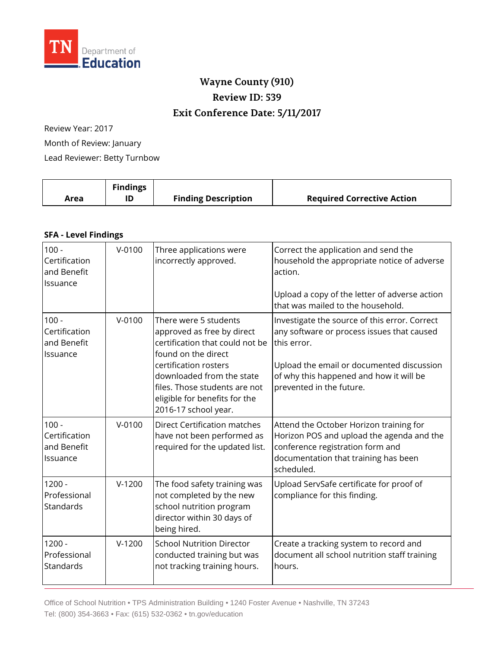

## **Wayne County (910) Review ID: 539 Exit Conference Date: 5/11/2017**

Review Year: 2017 Month of Review: January Lead Reviewer: Betty Turnbow

| Area | <b>Findings</b> | <b>Finding Description</b> | <b>Required Corrective Action</b> |
|------|-----------------|----------------------------|-----------------------------------|
|      |                 |                            |                                   |

## **SFA - Level Findings**

| $100 -$<br>Certification<br>and Benefit<br>Issuance | $V - 0100$ | Three applications were<br>incorrectly approved.                                                                                                                                                                                                              | Correct the application and send the<br>household the appropriate notice of adverse<br>action.<br>Upload a copy of the letter of adverse action<br>that was mailed to the household.                                           |
|-----------------------------------------------------|------------|---------------------------------------------------------------------------------------------------------------------------------------------------------------------------------------------------------------------------------------------------------------|--------------------------------------------------------------------------------------------------------------------------------------------------------------------------------------------------------------------------------|
| $100 -$<br>Certification<br>and Benefit<br>Issuance | $V - 0100$ | There were 5 students<br>approved as free by direct<br>certification that could not be<br>found on the direct<br>certification rosters<br>downloaded from the state<br>files. Those students are not<br>eligible for benefits for the<br>2016-17 school year. | Investigate the source of this error. Correct<br>any software or process issues that caused<br>this error.<br>Upload the email or documented discussion<br>of why this happened and how it will be<br>prevented in the future. |
| $100 -$<br>Certification<br>and Benefit<br>Issuance | $V - 0100$ | <b>Direct Certification matches</b><br>have not been performed as<br>required for the updated list.                                                                                                                                                           | Attend the October Horizon training for<br>Horizon POS and upload the agenda and the<br>conference registration form and<br>documentation that training has been<br>scheduled.                                                 |
| $1200 -$<br>Professional<br>Standards               | $V-1200$   | The food safety training was<br>not completed by the new<br>school nutrition program<br>director within 30 days of<br>being hired.                                                                                                                            | Upload ServSafe certificate for proof of<br>compliance for this finding.                                                                                                                                                       |
| $1200 -$<br>Professional<br>Standards               | $V-1200$   | <b>School Nutrition Director</b><br>conducted training but was<br>not tracking training hours.                                                                                                                                                                | Create a tracking system to record and<br>document all school nutrition staff training<br>hours.                                                                                                                               |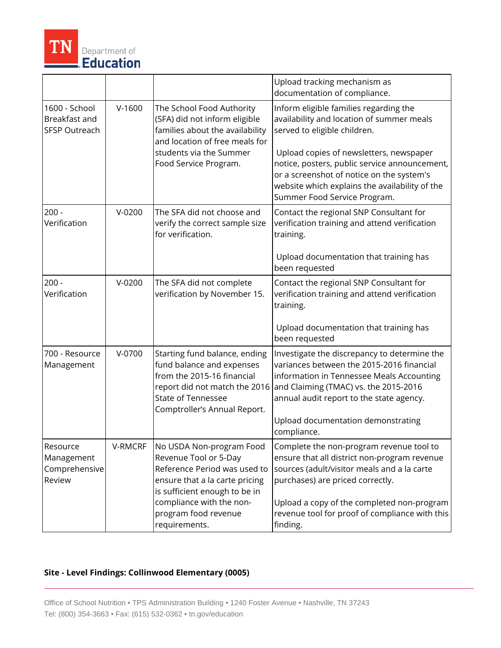

|                                                        |          |                                                                                                                                                                                                                           | Upload tracking mechanism as<br>documentation of compliance.                                                                                                                                                                                                                                                                                   |
|--------------------------------------------------------|----------|---------------------------------------------------------------------------------------------------------------------------------------------------------------------------------------------------------------------------|------------------------------------------------------------------------------------------------------------------------------------------------------------------------------------------------------------------------------------------------------------------------------------------------------------------------------------------------|
| 1600 - School<br>Breakfast and<br><b>SFSP Outreach</b> | $V-1600$ | The School Food Authority<br>(SFA) did not inform eligible<br>families about the availability<br>and location of free meals for<br>students via the Summer<br>Food Service Program.                                       | Inform eligible families regarding the<br>availability and location of summer meals<br>served to eligible children.<br>Upload copies of newsletters, newspaper<br>notice, posters, public service announcement,<br>or a screenshot of notice on the system's<br>website which explains the availability of the<br>Summer Food Service Program. |
| $200 -$<br>Verification                                | $V-0200$ | The SFA did not choose and<br>verify the correct sample size<br>for verification.                                                                                                                                         | Contact the regional SNP Consultant for<br>verification training and attend verification<br>training.<br>Upload documentation that training has<br>been requested                                                                                                                                                                              |
| $200 -$<br>Verification                                | $V-0200$ | The SFA did not complete<br>verification by November 15.                                                                                                                                                                  | Contact the regional SNP Consultant for<br>verification training and attend verification<br>training.<br>Upload documentation that training has<br>been requested                                                                                                                                                                              |
| 700 - Resource<br>Management                           | $V-0700$ | Starting fund balance, ending<br>fund balance and expenses<br>from the 2015-16 financial<br>report did not match the 2016<br><b>State of Tennessee</b><br>Comptroller's Annual Report.                                    | Investigate the discrepancy to determine the<br>variances between the 2015-2016 financial<br>information in Tennessee Meals Accounting<br>and Claiming (TMAC) vs. the 2015-2016<br>annual audit report to the state agency.<br>Upload documentation demonstrating<br>compliance.                                                               |
| Resource<br>Management<br>Comprehensive<br>Review      | V-RMCRF  | No USDA Non-program Food<br>Revenue Tool or 5-Day<br>Reference Period was used to<br>ensure that a la carte pricing<br>is sufficient enough to be in<br>compliance with the non-<br>program food revenue<br>requirements. | Complete the non-program revenue tool to<br>ensure that all district non-program revenue<br>sources (adult/visitor meals and a la carte<br>purchases) are priced correctly.<br>Upload a copy of the completed non-program<br>revenue tool for proof of compliance with this<br>finding.                                                        |

## **Site - Level Findings: Collinwood Elementary (0005)**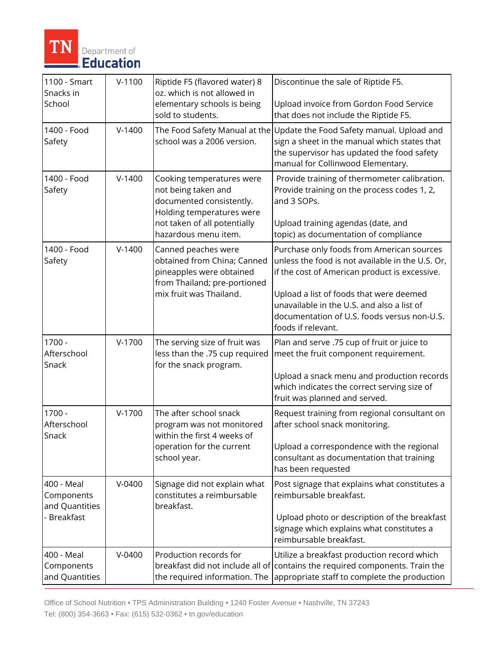

| 1100 - Smart<br>Snacks in<br>School                       | $V-1100$ | Riptide F5 (flavored water) 8<br>oz. which is not allowed in<br>elementary schools is being<br>sold to students.                                                  | Discontinue the sale of Riptide F5.<br>Upload invoice from Gordon Food Service<br>that does not include the Riptide F5.                                                                                                                                                                                      |
|-----------------------------------------------------------|----------|-------------------------------------------------------------------------------------------------------------------------------------------------------------------|--------------------------------------------------------------------------------------------------------------------------------------------------------------------------------------------------------------------------------------------------------------------------------------------------------------|
| 1400 - Food<br>Safety                                     | $V-1400$ | The Food Safety Manual at the<br>school was a 2006 version.                                                                                                       | Update the Food Safety manual. Upload and<br>sign a sheet in the manual which states that<br>the supervisor has updated the food safety<br>manual for Collinwood Elementary.                                                                                                                                 |
| 1400 - Food<br>Safety                                     | $V-1400$ | Cooking temperatures were<br>not being taken and<br>documented consistently.<br>Holding temperatures were<br>not taken of all potentially<br>hazardous menu item. | Provide training of thermometer calibration.<br>Provide training on the process codes 1, 2,<br>and 3 SOPs.<br>Upload training agendas (date, and<br>topic) as documentation of compliance                                                                                                                    |
| 1400 - Food<br>Safety                                     | $V-1400$ | Canned peaches were<br>obtained from China; Canned<br>pineapples were obtained<br>from Thailand; pre-portioned<br>mix fruit was Thailand.                         | Purchase only foods from American sources<br>unless the food is not available in the U.S. Or,<br>if the cost of American product is excessive.<br>Upload a list of foods that were deemed<br>unavailable in the U.S. and also a list of<br>documentation of U.S. foods versus non-U.S.<br>foods if relevant. |
| $1700 -$<br>Afterschool<br>Snack                          | $V-1700$ | The serving size of fruit was<br>less than the .75 cup required<br>for the snack program.                                                                         | Plan and serve .75 cup of fruit or juice to<br>meet the fruit component requirement.<br>Upload a snack menu and production records<br>which indicates the correct serving size of<br>fruit was planned and served.                                                                                           |
| $1700 -$<br>Afterschool<br>Snack                          | $V-1700$ | The after school snack<br>program was not monitored<br>within the first 4 weeks of<br>operation for the current<br>school year.                                   | Request training from regional consultant on<br>after school snack monitoring.<br>Upload a correspondence with the regional<br>consultant as documentation that training<br>has been requested                                                                                                               |
| 400 - Meal<br>Components<br>and Quantities<br>- Breakfast | $V-0400$ | Signage did not explain what<br>constitutes a reimbursable<br>breakfast.                                                                                          | Post signage that explains what constitutes a<br>reimbursable breakfast.<br>Upload photo or description of the breakfast<br>signage which explains what constitutes a<br>reimbursable breakfast.                                                                                                             |
| 400 - Meal<br>Components<br>and Quantities                | $V-0400$ | Production records for<br>the required information. The                                                                                                           | Utilize a breakfast production record which<br>breakfast did not include all of contains the required components. Train the<br>appropriate staff to complete the production                                                                                                                                  |